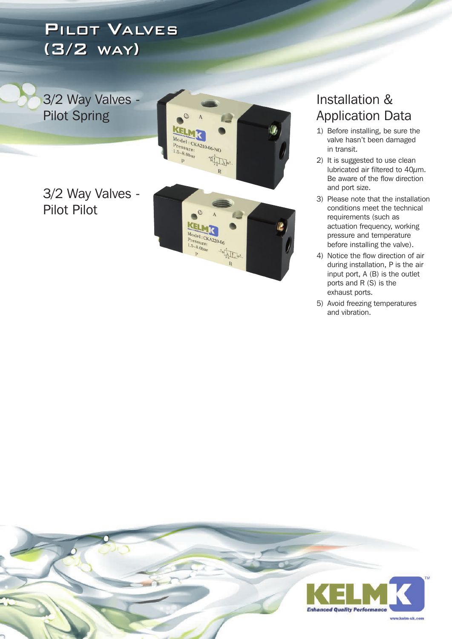## PILOT VALVES PILOT VALVES (3/2 WAY ) (3/2 WAY )

3/2 Way Valves - Pilot Spring

3/2 Way Valves - Pilot Pilot



## Installation & Application Data

- 1) Before installing, be sure the valve hasn't been damaged in transit.
- 2) It is suggested to use clean lubricated air filtered to 40µm. Be aware of the flow direction and port size.
- 3) Please note that the installation conditions meet the technical requirements (such as actuation frequency, working pressure and temperature before installing the valve).
- 4) Notice the flow direction of air during installation, P is the air input port, A (B) is the outlet ports and R (S) is the exhaust ports.
- 5) Avoid freezing temperatures and vibration.

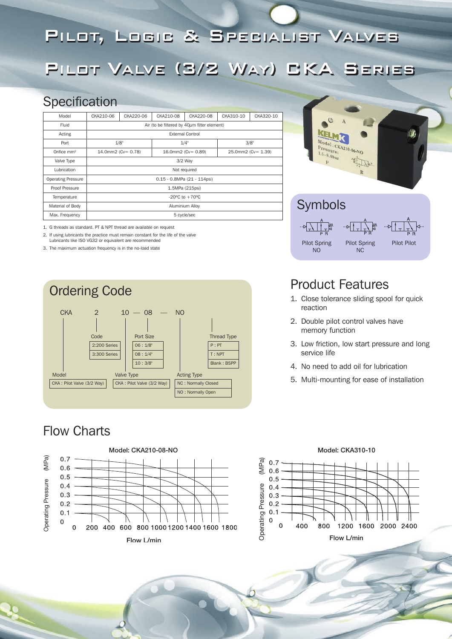## PILOT, LOGIC & SPECIALIST VALVES

## PILOT VALVE (3/2 WAY) CKA SERIES

### **Specification**

| Model                     | CKA210-06                                        | CKA220-06 | CKA210-08          | CKA220-08 | CKA310-10          | CKA320-10 |
|---------------------------|--------------------------------------------------|-----------|--------------------|-----------|--------------------|-----------|
| Fluid                     | Air (to be filtered by $40\mu$ m filter element) |           |                    |           |                    |           |
| Acting                    | <b>External Control</b>                          |           |                    |           |                    |           |
| Port                      | 1/8"                                             |           | 1/4"               |           | 3/8"               |           |
| Orifice $mm2$             | 14.0mm2 (Cv= 0.78)                               |           | 16.0mm2 (Cv= 0.89) |           | 25.0mm2 (Cv= 1.39) |           |
| Valve Type                | $3/2$ Way                                        |           |                    |           |                    |           |
| Lubrication               | Not required                                     |           |                    |           |                    |           |
| <b>Operating Pressure</b> | 0.15 - 0.8MPa (21 - 114psi)                      |           |                    |           |                    |           |
| Proof Pressure            | 1.5MPa (215psi)                                  |           |                    |           |                    |           |
| Temperature               | $-20^{\circ}$ C to $+70^{\circ}$ C               |           |                    |           |                    |           |
| Material of Body          | Aluminium Alloy                                  |           |                    |           |                    |           |
| Max. Frequency            | 5 cycle/sec                                      |           |                    |           |                    |           |

1. G threads as standard. PT & NPT thread are available on request

2. If using lubricants the practice must remain constant for the life of the valve

Lubricants like ISO VG32 or equivalent are recommended

3. The maximum actuation frequency is in the no-load state



## Flow Charts





## Product Features

Pilot Spring NO

1. Close tolerance sliding spool for quick reaction

Pilot Spring NC

Pilot Pilot

- 2. Double pilot control valves have memory function
- 3. Low friction, low start pressure and long service life
- 4. No need to add oil for lubrication
- 5. Multi-mounting for ease of installation

#### **Model: CKA310-10**

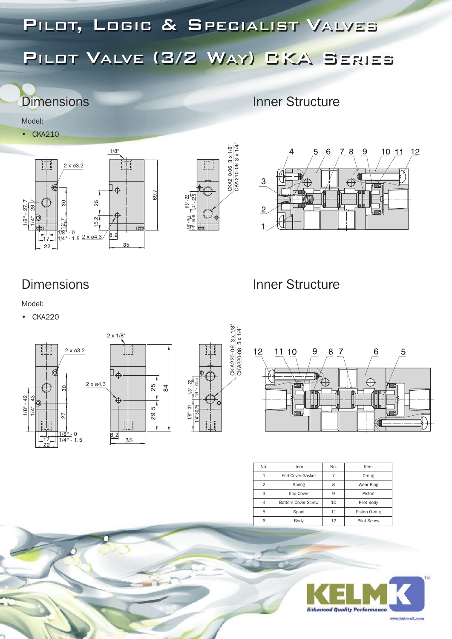## PILOT, LOGIC & SPECIALIST VALVES PILOT VALVE (3/2 WAY) CKA SERIES

## **Dimensions** Inner Structure

Model:

• CKA210







#### ١ ions

**Inner Structure** 

### Model:

• CKA220



| No.            | Item                      | No.          | Item               |  |
|----------------|---------------------------|--------------|--------------------|--|
| 1              | End Cover Gasket          |              | 0-ring             |  |
| $\overline{2}$ | Spring                    | $\mathsf{R}$ | Wear Ring          |  |
| 3              | End Cover                 | q            | Piston             |  |
| 4              | <b>Bottom Cover Screw</b> | 10           | Pilot Body         |  |
| 5              | Spool                     | 11           | Piston 0-ring      |  |
| 6              | Body                      |              | <b>Pilot Screw</b> |  |
|                |                           |              |                    |  |